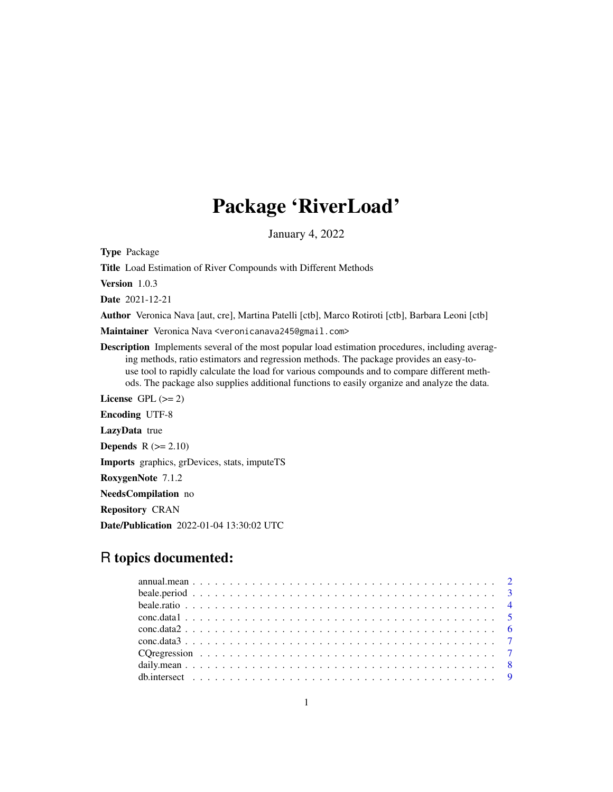# Package 'RiverLoad'

January 4, 2022

Type Package

Title Load Estimation of River Compounds with Different Methods

Version 1.0.3

Date 2021-12-21

Author Veronica Nava [aut, cre], Martina Patelli [ctb], Marco Rotiroti [ctb], Barbara Leoni [ctb]

Maintainer Veronica Nava <veronicanava245@gmail.com>

Description Implements several of the most popular load estimation procedures, including averaging methods, ratio estimators and regression methods. The package provides an easy-touse tool to rapidly calculate the load for various compounds and to compare different methods. The package also supplies additional functions to easily organize and analyze the data.

License GPL  $(>= 2)$ Encoding UTF-8 LazyData true **Depends**  $R$  ( $>= 2.10$ ) Imports graphics, grDevices, stats, imputeTS RoxygenNote 7.1.2 NeedsCompilation no Repository CRAN

Date/Publication 2022-01-04 13:30:02 UTC

# R topics documented: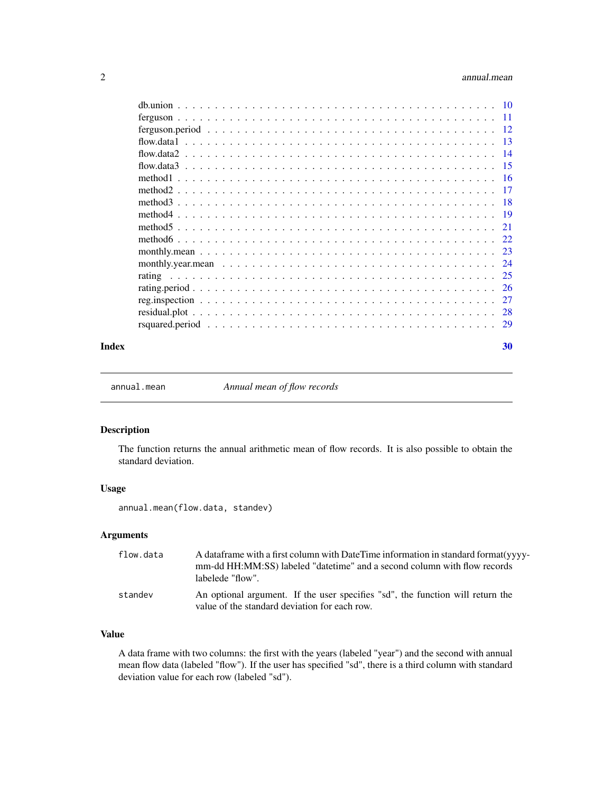<span id="page-1-0"></span>

| $-11$           |
|-----------------|
| $-12$           |
| $\overline{13}$ |
| - 14            |
| -15             |
| - 16            |
| - 17            |
| - 18            |
|                 |
| 21              |
|                 |
| 23              |
|                 |
| 25              |
| -26             |
| 27              |
| 28              |
|                 |
|                 |

#### $\bf 30$  $\bf 30$

<span id="page-1-1"></span>

annual.mean *Annual mean of flow records*

# Description

The function returns the annual arithmetic mean of flow records. It is also possible to obtain the standard deviation.

# Usage

annual.mean(flow.data, standev)

# Arguments

| flow.data | A data frame with a first column with Date Time information in standard format (yvvy-<br>mm-dd HH:MM:SS) labeled "datetime" and a second column with flow records<br>labelede "flow". |
|-----------|---------------------------------------------------------------------------------------------------------------------------------------------------------------------------------------|
| standev   | An optional argument. If the user specifies "sd", the function will return the<br>value of the standard deviation for each row.                                                       |

# Value

A data frame with two columns: the first with the years (labeled "year") and the second with annual mean flow data (labeled "flow"). If the user has specified "sd", there is a third column with standard deviation value for each row (labeled "sd").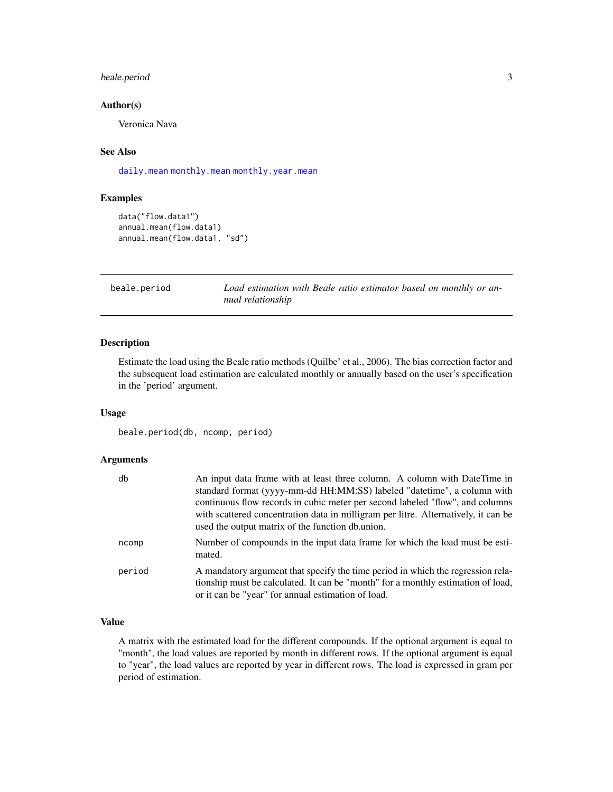# <span id="page-2-0"></span>beale.period 3

# Author(s)

Veronica Nava

# See Also

[daily.mean](#page-7-1) [monthly.mean](#page-22-1) [monthly.year.mean](#page-23-1)

# Examples

```
data("flow.data1")
annual.mean(flow.data1)
annual.mean(flow.data1, "sd")
```
beale.period *Load estimation with Beale ratio estimator based on monthly or annual relationship*

#### Description

Estimate the load using the Beale ratio methods (Quilbe' et al., 2006). The bias correction factor and the subsequent load estimation are calculated monthly or annually based on the user's specification in the 'period' argument.

# Usage

beale.period(db, ncomp, period)

#### Arguments

| db     | An input data frame with at least three column. A column with DateTime in<br>standard format (yyyy-mm-dd HH:MM:SS) labeled "datetime", a column with<br>continuous flow records in cubic meter per second labeled "flow", and columns<br>with scattered concentration data in milligram per litre. Alternatively, it can be<br>used the output matrix of the function db.union. |
|--------|---------------------------------------------------------------------------------------------------------------------------------------------------------------------------------------------------------------------------------------------------------------------------------------------------------------------------------------------------------------------------------|
| ncomp  | Number of compounds in the input data frame for which the load must be esti-<br>mated.                                                                                                                                                                                                                                                                                          |
| period | A mandatory argument that specify the time period in which the regression rela-<br>tionship must be calculated. It can be "month" for a monthly estimation of load,<br>or it can be "year" for annual estimation of load.                                                                                                                                                       |

# Value

A matrix with the estimated load for the different compounds. If the optional argument is equal to "month", the load values are reported by month in different rows. If the optional argument is equal to "year", the load values are reported by year in different rows. The load is expressed in gram per period of estimation.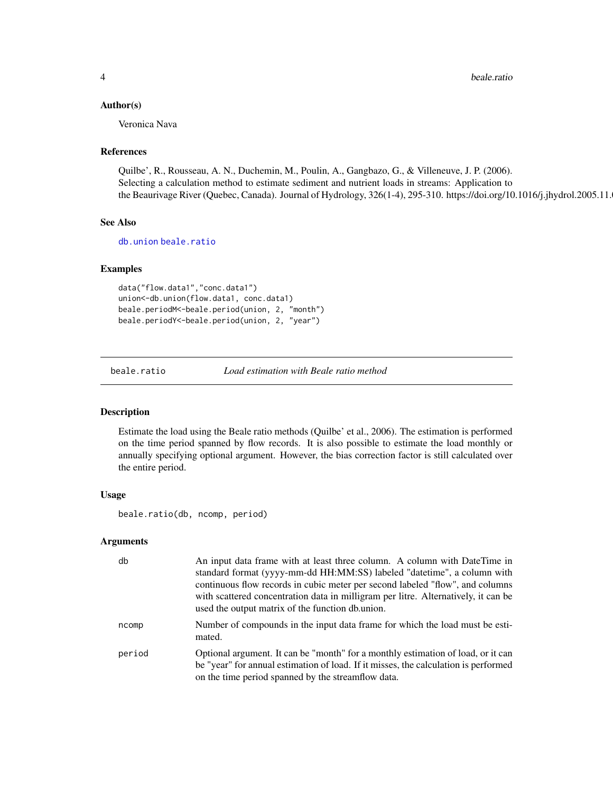#### <span id="page-3-0"></span>Author(s)

Veronica Nava

#### References

Quilbe', R., Rousseau, A. N., Duchemin, M., Poulin, A., Gangbazo, G., & Villeneuve, J. P. (2006). Selecting a calculation method to estimate sediment and nutrient loads in streams: Application to the Beaurivage River (Quebec, Canada). Journal of Hydrology, 326(1-4), 295-310. https://doi.org/10.1016/j.jhydrol.2005.11.

# See Also

[db.union](#page-9-1) [beale.ratio](#page-3-1)

# Examples

```
data("flow.data1","conc.data1")
union<-db.union(flow.data1, conc.data1)
beale.periodM<-beale.period(union, 2, "month")
beale.periodY<-beale.period(union, 2, "year")
```
<span id="page-3-1"></span>beale.ratio *Load estimation with Beale ratio method*

# Description

Estimate the load using the Beale ratio methods (Quilbe' et al., 2006). The estimation is performed on the time period spanned by flow records. It is also possible to estimate the load monthly or annually specifying optional argument. However, the bias correction factor is still calculated over the entire period.

# Usage

beale.ratio(db, ncomp, period)

#### Arguments

| db     | An input data frame with at least three column. A column with DateTime in<br>standard format (yyyy-mm-dd HH:MM:SS) labeled "datetime", a column with<br>continuous flow records in cubic meter per second labeled "flow", and columns<br>with scattered concentration data in milligram per litre. Alternatively, it can be<br>used the output matrix of the function db.union. |
|--------|---------------------------------------------------------------------------------------------------------------------------------------------------------------------------------------------------------------------------------------------------------------------------------------------------------------------------------------------------------------------------------|
| ncomp  | Number of compounds in the input data frame for which the load must be esti-<br>mated.                                                                                                                                                                                                                                                                                          |
| period | Optional argument. It can be "month" for a monthly estimation of load, or it can<br>be "year" for annual estimation of load. If it misses, the calculation is performed<br>on the time period spanned by the streamflow data.                                                                                                                                                   |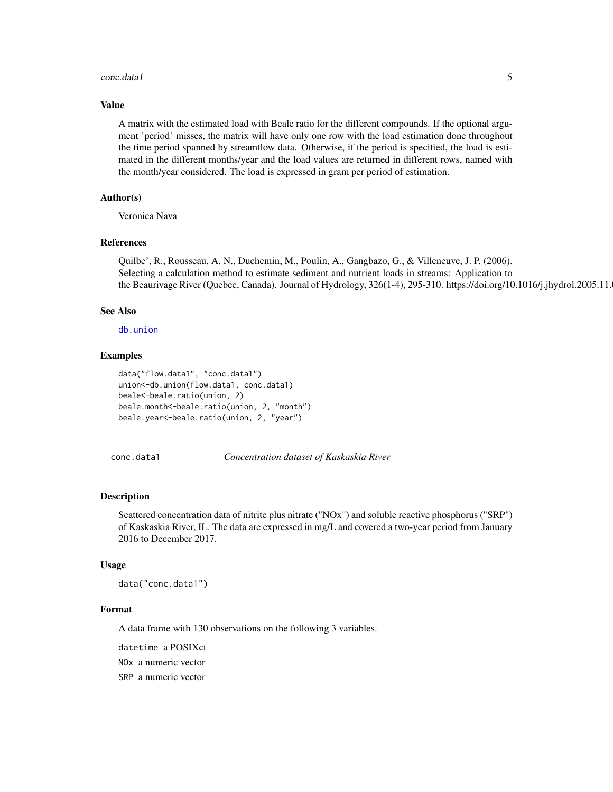#### <span id="page-4-0"></span>conc.data1 5

#### Value

A matrix with the estimated load with Beale ratio for the different compounds. If the optional argument 'period' misses, the matrix will have only one row with the load estimation done throughout the time period spanned by streamflow data. Otherwise, if the period is specified, the load is estimated in the different months/year and the load values are returned in different rows, named with the month/year considered. The load is expressed in gram per period of estimation.

#### Author(s)

Veronica Nava

#### References

Quilbe', R., Rousseau, A. N., Duchemin, M., Poulin, A., Gangbazo, G., & Villeneuve, J. P. (2006). Selecting a calculation method to estimate sediment and nutrient loads in streams: Application to the Beaurivage River (Quebec, Canada). Journal of Hydrology, 326(1-4), 295-310. https://doi.org/10.1016/j.jhydrol.2005.11.

#### See Also

[db.union](#page-9-1)

#### Examples

```
data("flow.data1", "conc.data1")
union<-db.union(flow.data1, conc.data1)
beale<-beale.ratio(union, 2)
beale.month<-beale.ratio(union, 2, "month")
beale.year<-beale.ratio(union, 2, "year")
```
conc.data1 *Concentration dataset of Kaskaskia River*

#### Description

Scattered concentration data of nitrite plus nitrate ("NOx") and soluble reactive phosphorus ("SRP") of Kaskaskia River, IL. The data are expressed in mg/L and covered a two-year period from January 2016 to December 2017.

#### Usage

data("conc.data1")

#### Format

A data frame with 130 observations on the following 3 variables.

datetime a POSIXct

NOx a numeric vector

SRP a numeric vector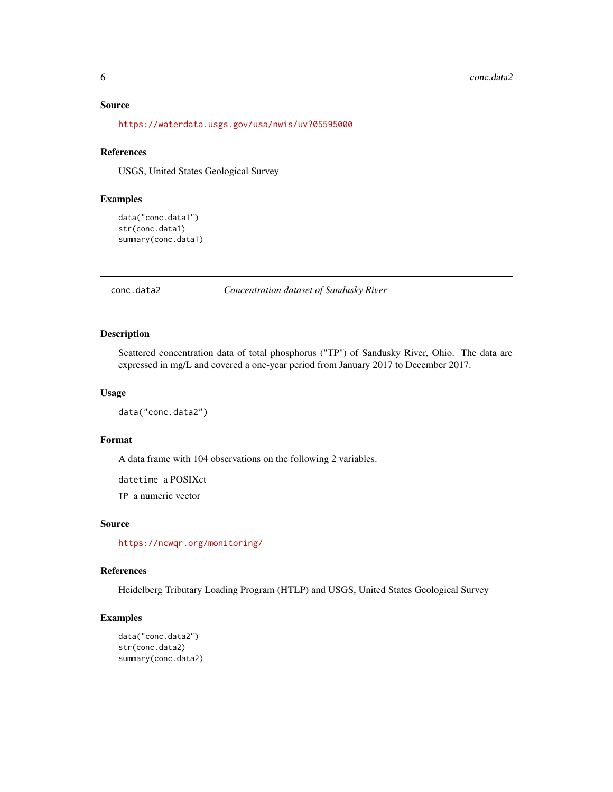#### <span id="page-5-0"></span>Source

<https://waterdata.usgs.gov/usa/nwis/uv?05595000>

# References

USGS, United States Geological Survey

# Examples

```
data("conc.data1")
str(conc.data1)
summary(conc.data1)
```
conc.data2 *Concentration dataset of Sandusky River*

#### Description

Scattered concentration data of total phosphorus ("TP") of Sandusky River, Ohio. The data are expressed in mg/L and covered a one-year period from January 2017 to December 2017.

# Usage

```
data("conc.data2")
```
# Format

A data frame with 104 observations on the following 2 variables.

datetime a POSIXct

TP a numeric vector

# Source

<https://ncwqr.org/monitoring/>

# References

Heidelberg Tributary Loading Program (HTLP) and USGS, United States Geological Survey

# Examples

```
data("conc.data2")
str(conc.data2)
summary(conc.data2)
```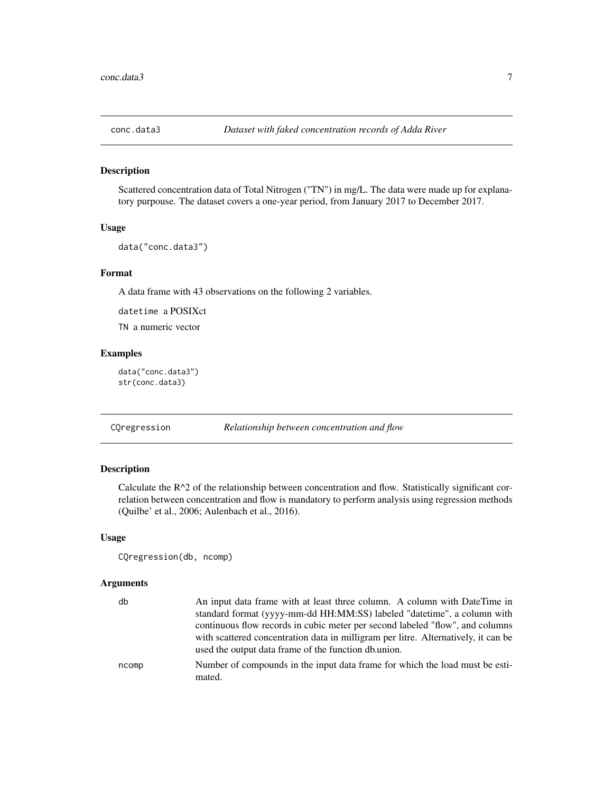<span id="page-6-0"></span>

# Description

Scattered concentration data of Total Nitrogen ("TN") in mg/L. The data were made up for explanatory purpouse. The dataset covers a one-year period, from January 2017 to December 2017.

#### Usage

```
data("conc.data3")
```
# Format

A data frame with 43 observations on the following 2 variables.

datetime a POSIXct

TN a numeric vector

#### Examples

data("conc.data3") str(conc.data3)

<span id="page-6-1"></span>CQregression *Relationship between concentration and flow*

# Description

Calculate the  $R^2$  of the relationship between concentration and flow. Statistically significant correlation between concentration and flow is mandatory to perform analysis using regression methods (Quilbe' et al., 2006; Aulenbach et al., 2016).

#### Usage

```
CQregression(db, ncomp)
```
# Arguments

| db    | An input data frame with at least three column. A column with DateTime in<br>standard format (yyyy-mm-dd HH:MM:SS) labeled "datetime", a column with<br>continuous flow records in cubic meter per second labeled "flow", and columns<br>with scattered concentration data in milligram per litre. Alternatively, it can be<br>used the output data frame of the function db.union. |
|-------|-------------------------------------------------------------------------------------------------------------------------------------------------------------------------------------------------------------------------------------------------------------------------------------------------------------------------------------------------------------------------------------|
| ncomp | Number of compounds in the input data frame for which the load must be esti-<br>mated.                                                                                                                                                                                                                                                                                              |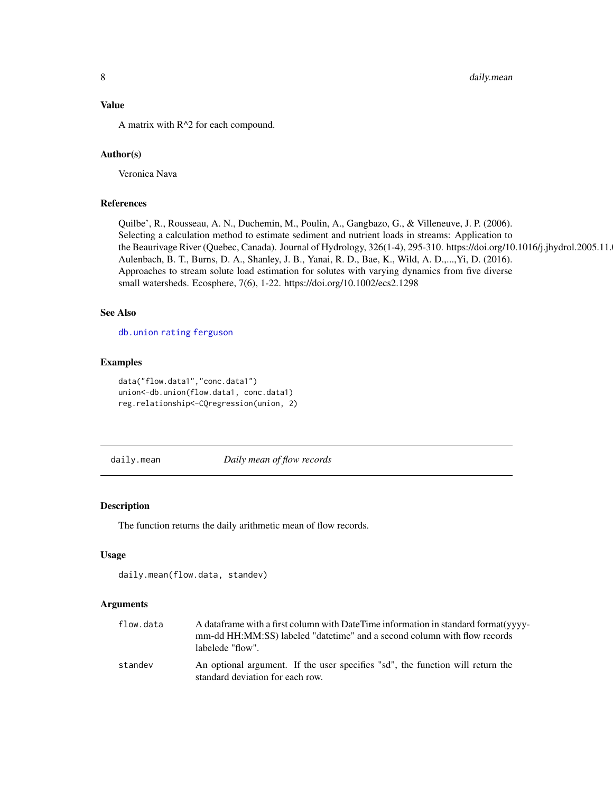# <span id="page-7-0"></span>Value

A matrix with R^2 for each compound.

# Author(s)

Veronica Nava

# References

Quilbe', R., Rousseau, A. N., Duchemin, M., Poulin, A., Gangbazo, G., & Villeneuve, J. P. (2006). Selecting a calculation method to estimate sediment and nutrient loads in streams: Application to the Beaurivage River (Quebec, Canada). Journal of Hydrology, 326(1-4), 295-310. https://doi.org/10.1016/j.jhydrol.2005.11. Aulenbach, B. T., Burns, D. A., Shanley, J. B., Yanai, R. D., Bae, K., Wild, A. D.,...,Yi, D. (2016). Approaches to stream solute load estimation for solutes with varying dynamics from five diverse small watersheds. Ecosphere, 7(6), 1-22. https://doi.org/10.1002/ecs2.1298

# See Also

[db.union](#page-9-1) [rating](#page-24-1) [ferguson](#page-10-1)

# Examples

```
data("flow.data1","conc.data1")
union<-db.union(flow.data1, conc.data1)
reg.relationship<-CQregression(union, 2)
```
<span id="page-7-1"></span>daily.mean *Daily mean of flow records*

#### Description

The function returns the daily arithmetic mean of flow records.

# Usage

```
daily.mean(flow.data, standev)
```
#### Arguments

| flow.data | A data frame with a first column with Date Time information in standard format (yyyy-<br>mm-dd HH:MM:SS) labeled "datetime" and a second column with flow records<br>labelede "flow". |
|-----------|---------------------------------------------------------------------------------------------------------------------------------------------------------------------------------------|
| standev   | An optional argument. If the user specifies "sd", the function will return the<br>standard deviation for each row.                                                                    |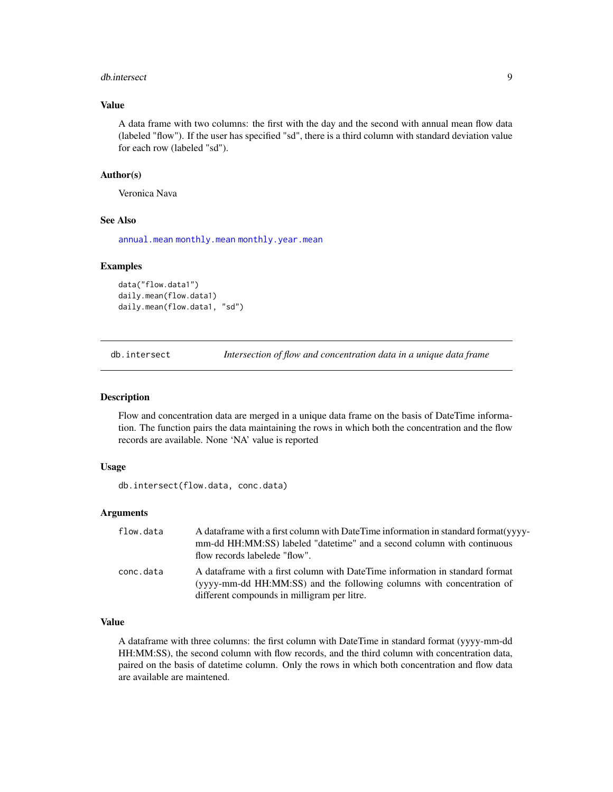#### <span id="page-8-0"></span>db.intersect 9

# Value

A data frame with two columns: the first with the day and the second with annual mean flow data (labeled "flow"). If the user has specified "sd", there is a third column with standard deviation value for each row (labeled "sd").

#### Author(s)

Veronica Nava

# See Also

[annual.mean](#page-1-1) [monthly.mean](#page-22-1) [monthly.year.mean](#page-23-1)

#### Examples

```
data("flow.data1")
daily.mean(flow.data1)
daily.mean(flow.data1, "sd")
```
<span id="page-8-1"></span>db.intersect *Intersection of flow and concentration data in a unique data frame*

#### Description

Flow and concentration data are merged in a unique data frame on the basis of DateTime information. The function pairs the data maintaining the rows in which both the concentration and the flow records are available. None 'NA' value is reported

# Usage

db.intersect(flow.data, conc.data)

# Arguments

| flow.data | A data frame with a first column with Date Time information in standard format (yyyy-<br>mm-dd HH:MM:SS) labeled "date time" and a second column with continuous<br>flow records labelede "flow".    |
|-----------|------------------------------------------------------------------------------------------------------------------------------------------------------------------------------------------------------|
| conc.data | A dataframe with a first column with DateTime information in standard format<br>(yyyy-mm-dd HH:MM:SS) and the following columns with concentration of<br>different compounds in milligram per litre. |

# Value

A dataframe with three columns: the first column with DateTime in standard format (yyyy-mm-dd HH:MM:SS), the second column with flow records, and the third column with concentration data, paired on the basis of datetime column. Only the rows in which both concentration and flow data are available are maintened.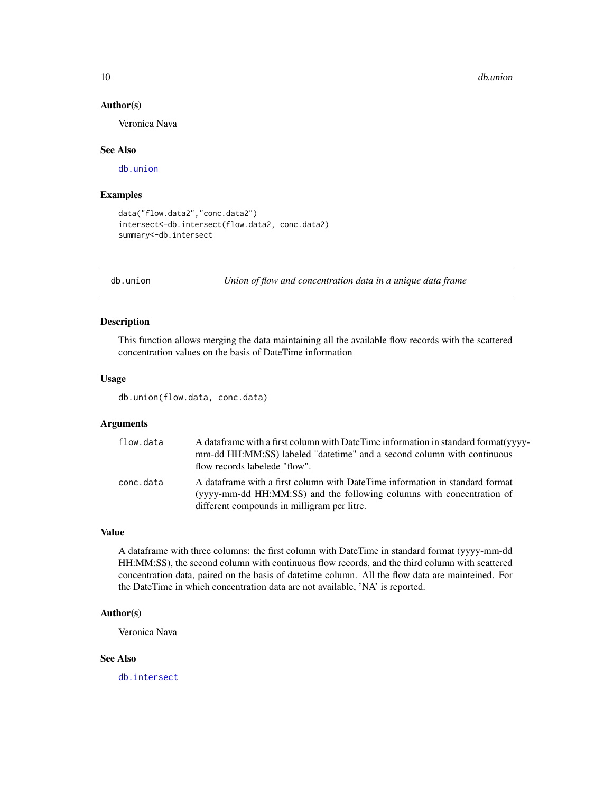#### 10 db.union db.union db.union db.union db.union db.union db.union db.union db.union db.union db.union db.union

# Author(s)

Veronica Nava

#### See Also

[db.union](#page-9-1)

# Examples

```
data("flow.data2","conc.data2")
intersect<-db.intersect(flow.data2, conc.data2)
summary<-db.intersect
```
<span id="page-9-1"></span>db.union *Union of flow and concentration data in a unique data frame*

# Description

This function allows merging the data maintaining all the available flow records with the scattered concentration values on the basis of DateTime information

# Usage

db.union(flow.data, conc.data)

# Arguments

| flow.data | A data frame with a first column with Date Time information in standard format (yyyy-<br>mm-dd HH:MM:SS) labeled "date time" and a second column with continuous<br>flow records labelede "flow".    |
|-----------|------------------------------------------------------------------------------------------------------------------------------------------------------------------------------------------------------|
| conc.data | A dataframe with a first column with DateTime information in standard format<br>(yyyy-mm-dd HH:MM:SS) and the following columns with concentration of<br>different compounds in milligram per litre. |

#### Value

A dataframe with three columns: the first column with DateTime in standard format (yyyy-mm-dd HH:MM:SS), the second column with continuous flow records, and the third column with scattered concentration data, paired on the basis of datetime column. All the flow data are mainteined. For the DateTime in which concentration data are not available, 'NA' is reported.

# Author(s)

Veronica Nava

# See Also

[db.intersect](#page-8-1)

<span id="page-9-0"></span>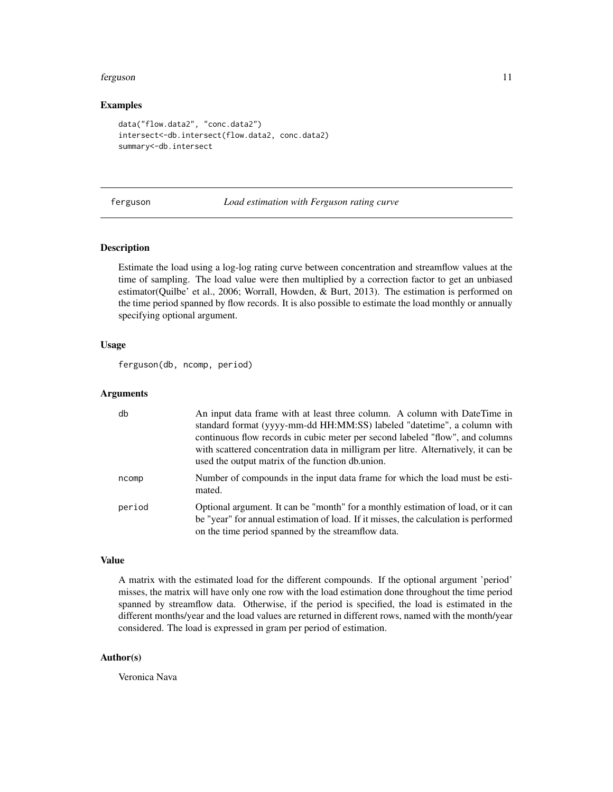#### <span id="page-10-0"></span>ferguson 11

#### Examples

```
data("flow.data2", "conc.data2")
intersect<-db.intersect(flow.data2, conc.data2)
summary<-db.intersect
```
<span id="page-10-1"></span>ferguson *Load estimation with Ferguson rating curve*

# **Description**

Estimate the load using a log-log rating curve between concentration and streamflow values at the time of sampling. The load value were then multiplied by a correction factor to get an unbiased estimator(Quilbe' et al., 2006; Worrall, Howden, & Burt, 2013). The estimation is performed on the time period spanned by flow records. It is also possible to estimate the load monthly or annually specifying optional argument.

#### Usage

```
ferguson(db, ncomp, period)
```
#### Arguments

| db     | An input data frame with at least three column. A column with DateTime in<br>standard format (yyyy-mm-dd HH:MM:SS) labeled "datetime", a column with<br>continuous flow records in cubic meter per second labeled "flow", and columns<br>with scattered concentration data in milligram per litre. Alternatively, it can be<br>used the output matrix of the function db.union. |
|--------|---------------------------------------------------------------------------------------------------------------------------------------------------------------------------------------------------------------------------------------------------------------------------------------------------------------------------------------------------------------------------------|
| ncomp  | Number of compounds in the input data frame for which the load must be esti-<br>mated.                                                                                                                                                                                                                                                                                          |
| period | Optional argument. It can be "month" for a monthly estimation of load, or it can<br>be "year" for annual estimation of load. If it misses, the calculation is performed<br>on the time period spanned by the streamflow data.                                                                                                                                                   |

# Value

A matrix with the estimated load for the different compounds. If the optional argument 'period' misses, the matrix will have only one row with the load estimation done throughout the time period spanned by streamflow data. Otherwise, if the period is specified, the load is estimated in the different months/year and the load values are returned in different rows, named with the month/year considered. The load is expressed in gram per period of estimation.

# Author(s)

Veronica Nava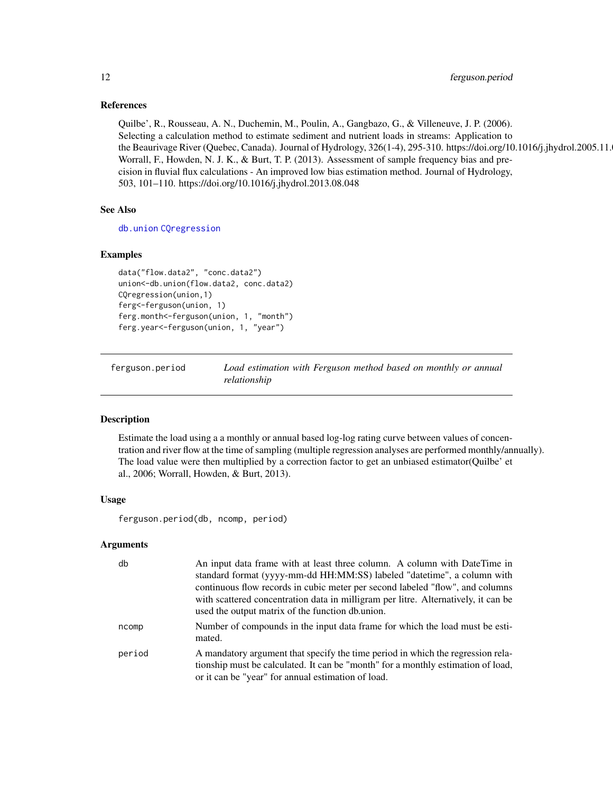# References

Quilbe', R., Rousseau, A. N., Duchemin, M., Poulin, A., Gangbazo, G., & Villeneuve, J. P. (2006). Selecting a calculation method to estimate sediment and nutrient loads in streams: Application to the Beaurivage River (Quebec, Canada). Journal of Hydrology, 326(1-4), 295-310. https://doi.org/10.1016/j.jhydrol.2005.11. Worrall, F., Howden, N. J. K., & Burt, T. P. (2013). Assessment of sample frequency bias and precision in fluvial flux calculations - An improved low bias estimation method. Journal of Hydrology, 503, 101–110. https://doi.org/10.1016/j.jhydrol.2013.08.048

# See Also

[db.union](#page-9-1) [CQregression](#page-6-1)

#### Examples

```
data("flow.data2", "conc.data2")
union<-db.union(flow.data2, conc.data2)
CQregression(union,1)
ferg<-ferguson(union, 1)
ferg.month<-ferguson(union, 1, "month")
ferg.year<-ferguson(union, 1, "year")
```
<span id="page-11-1"></span>ferguson.period *Load estimation with Ferguson method based on monthly or annual relationship*

# Description

Estimate the load using a a monthly or annual based log-log rating curve between values of concentration and river flow at the time of sampling (multiple regression analyses are performed monthly/annually). The load value were then multiplied by a correction factor to get an unbiased estimator(Quilbe' et al., 2006; Worrall, Howden, & Burt, 2013).

# Usage

ferguson.period(db, ncomp, period)

#### Arguments

| db     | An input data frame with at least three column. A column with DateTime in<br>standard format (yyyy-mm-dd HH:MM:SS) labeled "datetime", a column with<br>continuous flow records in cubic meter per second labeled "flow", and columns<br>with scattered concentration data in milligram per litre. Alternatively, it can be<br>used the output matrix of the function db.union. |
|--------|---------------------------------------------------------------------------------------------------------------------------------------------------------------------------------------------------------------------------------------------------------------------------------------------------------------------------------------------------------------------------------|
| ncomp  | Number of compounds in the input data frame for which the load must be esti-<br>mated.                                                                                                                                                                                                                                                                                          |
| period | A mandatory argument that specify the time period in which the regression rela-<br>tionship must be calculated. It can be "month" for a monthly estimation of load,<br>or it can be "year" for annual estimation of load.                                                                                                                                                       |

<span id="page-11-0"></span>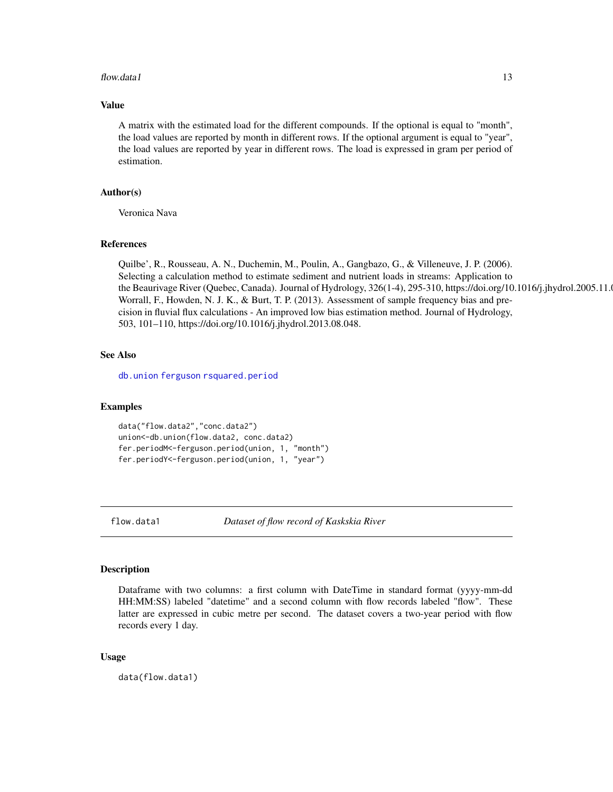#### <span id="page-12-0"></span>flow.data1  $13$

# Value

A matrix with the estimated load for the different compounds. If the optional is equal to "month", the load values are reported by month in different rows. If the optional argument is equal to "year", the load values are reported by year in different rows. The load is expressed in gram per period of estimation.

# Author(s)

Veronica Nava

#### References

Quilbe', R., Rousseau, A. N., Duchemin, M., Poulin, A., Gangbazo, G., & Villeneuve, J. P. (2006). Selecting a calculation method to estimate sediment and nutrient loads in streams: Application to the Beaurivage River (Quebec, Canada). Journal of Hydrology, 326(1-4), 295-310, https://doi.org/10.1016/j.jhydrol.2005.11. Worrall, F., Howden, N. J. K., & Burt, T. P. (2013). Assessment of sample frequency bias and precision in fluvial flux calculations - An improved low bias estimation method. Journal of Hydrology, 503, 101–110, https://doi.org/10.1016/j.jhydrol.2013.08.048.

## See Also

[db.union](#page-9-1) [ferguson](#page-10-1) [rsquared.period](#page-28-1)

# Examples

```
data("flow.data2","conc.data2")
union<-db.union(flow.data2, conc.data2)
fer.periodM<-ferguson.period(union, 1, "month")
fer.periodY<-ferguson.period(union, 1, "year")
```
flow.data1 *Dataset of flow record of Kaskskia River*

#### Description

Dataframe with two columns: a first column with DateTime in standard format (yyyy-mm-dd HH:MM:SS) labeled "datetime" and a second column with flow records labeled "flow". These latter are expressed in cubic metre per second. The dataset covers a two-year period with flow records every 1 day.

#### Usage

data(flow.data1)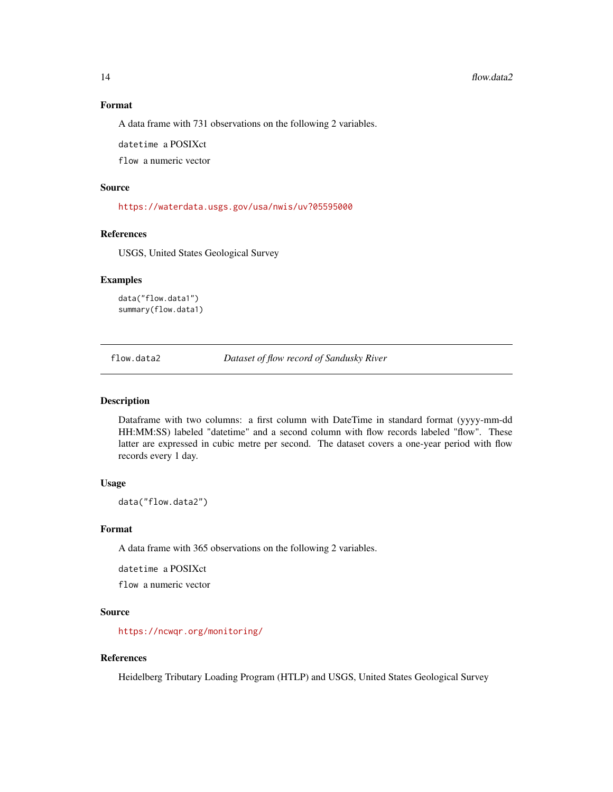#### 14 flow.data2

# Format

A data frame with 731 observations on the following 2 variables.

datetime a POSIXct

flow a numeric vector

# Source

<https://waterdata.usgs.gov/usa/nwis/uv?05595000>

# References

USGS, United States Geological Survey

# Examples

```
data("flow.data1")
summary(flow.data1)
```
flow.data2 *Dataset of flow record of Sandusky River*

# Description

Dataframe with two columns: a first column with DateTime in standard format (yyyy-mm-dd HH:MM:SS) labeled "datetime" and a second column with flow records labeled "flow". These latter are expressed in cubic metre per second. The dataset covers a one-year period with flow records every 1 day.

# Usage

data("flow.data2")

#### Format

A data frame with 365 observations on the following 2 variables.

datetime a POSIXct

flow a numeric vector

#### Source

<https://ncwqr.org/monitoring/>

# References

Heidelberg Tributary Loading Program (HTLP) and USGS, United States Geological Survey

<span id="page-13-0"></span>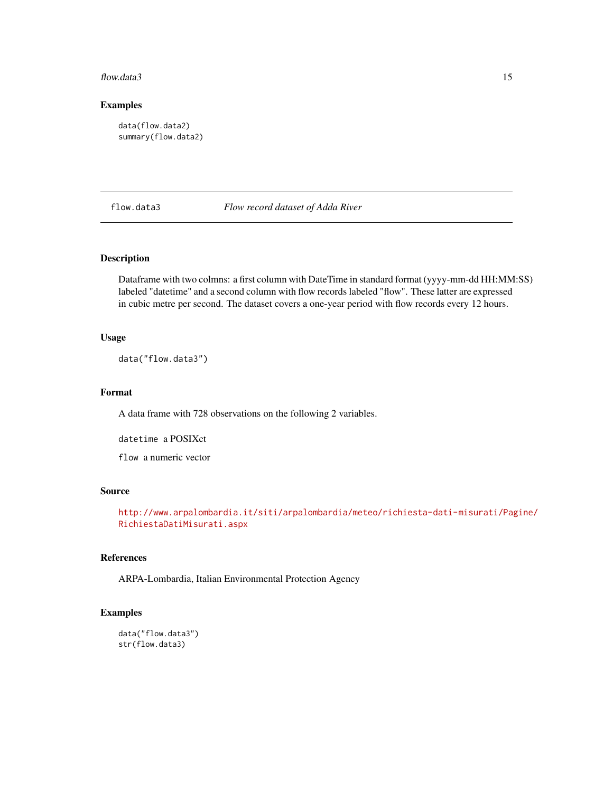#### <span id="page-14-0"></span>flow.data3 15

# Examples

```
data(flow.data2)
summary(flow.data2)
```
## flow.data3 *Flow record dataset of Adda River*

# Description

Dataframe with two colmns: a first column with DateTime in standard format (yyyy-mm-dd HH:MM:SS) labeled "datetime" and a second column with flow records labeled "flow". These latter are expressed in cubic metre per second. The dataset covers a one-year period with flow records every 12 hours.

#### Usage

data("flow.data3")

# Format

A data frame with 728 observations on the following 2 variables.

datetime a POSIXct

flow a numeric vector

# Source

```
http://www.arpalombardia.it/siti/arpalombardia/meteo/richiesta-dati-misurati/Pagine/
RichiestaDatiMisurati.aspx
```
# References

ARPA-Lombardia, Italian Environmental Protection Agency

# Examples

```
data("flow.data3")
str(flow.data3)
```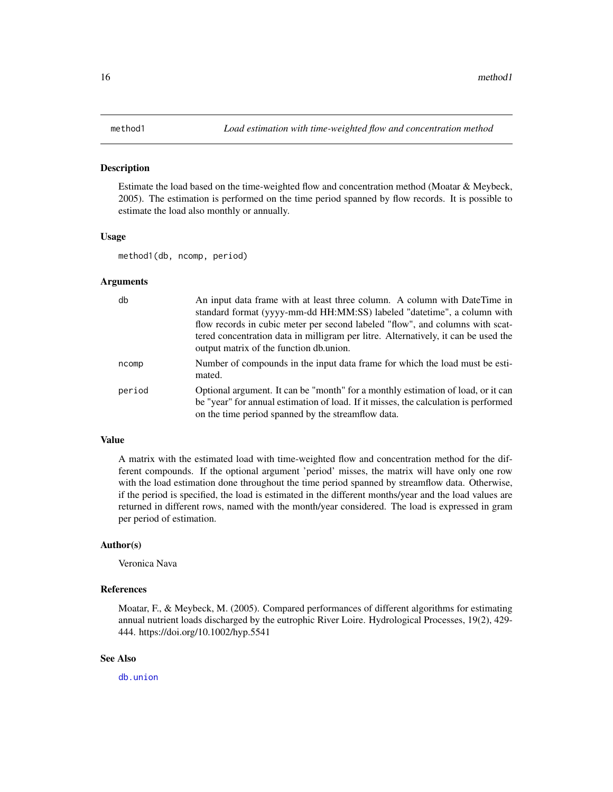#### <span id="page-15-0"></span>Description

Estimate the load based on the time-weighted flow and concentration method (Moatar & Meybeck, 2005). The estimation is performed on the time period spanned by flow records. It is possible to estimate the load also monthly or annually.

#### Usage

method1(db, ncomp, period)

#### **Arguments**

| db     | An input data frame with at least three column. A column with DateTime in<br>standard format (yyyy-mm-dd HH:MM:SS) labeled "datetime", a column with<br>flow records in cubic meter per second labeled "flow", and columns with scat- |
|--------|---------------------------------------------------------------------------------------------------------------------------------------------------------------------------------------------------------------------------------------|
|        | tered concentration data in milligram per litre. Alternatively, it can be used the<br>output matrix of the function db.union.                                                                                                         |
| ncomp  | Number of compounds in the input data frame for which the load must be esti-<br>mated.                                                                                                                                                |
| period | Optional argument. It can be "month" for a monthly estimation of load, or it can<br>be "year" for annual estimation of load. If it misses, the calculation is performed<br>on the time period spanned by the streamflow data.         |

#### Value

A matrix with the estimated load with time-weighted flow and concentration method for the different compounds. If the optional argument 'period' misses, the matrix will have only one row with the load estimation done throughout the time period spanned by streamflow data. Otherwise, if the period is specified, the load is estimated in the different months/year and the load values are returned in different rows, named with the month/year considered. The load is expressed in gram per period of estimation.

# Author(s)

Veronica Nava

#### References

Moatar, F., & Meybeck, M. (2005). Compared performances of different algorithms for estimating annual nutrient loads discharged by the eutrophic River Loire. Hydrological Processes, 19(2), 429- 444. https://doi.org/10.1002/hyp.5541

# See Also

[db.union](#page-9-1)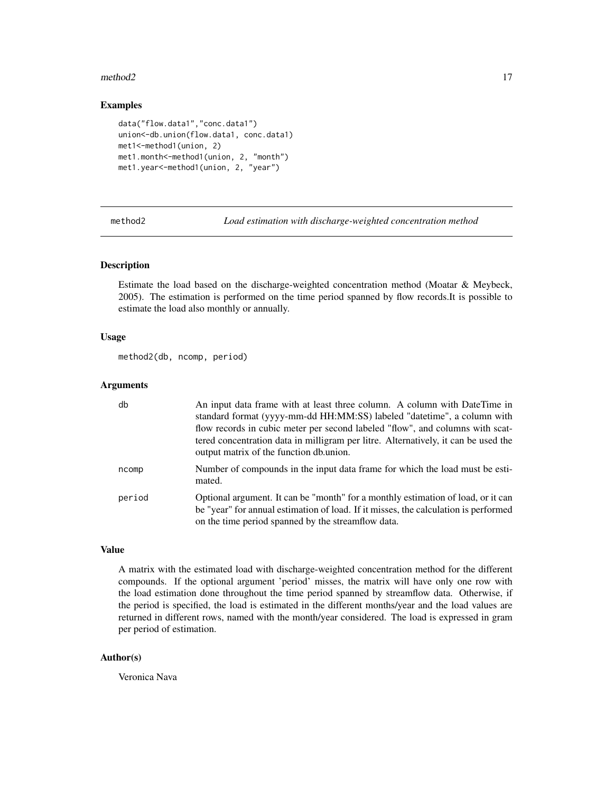#### <span id="page-16-0"></span>method2 17

# Examples

```
data("flow.data1","conc.data1")
union<-db.union(flow.data1, conc.data1)
met1<-method1(union, 2)
met1.month<-method1(union, 2, "month")
met1.year<-method1(union, 2, "year")
```
method2 *Load estimation with discharge-weighted concentration method*

# Description

Estimate the load based on the discharge-weighted concentration method (Moatar & Meybeck, 2005). The estimation is performed on the time period spanned by flow records.It is possible to estimate the load also monthly or annually.

#### Usage

```
method2(db, ncomp, period)
```
# Arguments

| db     | An input data frame with at least three column. A column with DateTime in<br>standard format (yyyy-mm-dd HH:MM:SS) labeled "datetime", a column with<br>flow records in cubic meter per second labeled "flow", and columns with scat-<br>tered concentration data in milligram per litre. Alternatively, it can be used the<br>output matrix of the function db.union. |
|--------|------------------------------------------------------------------------------------------------------------------------------------------------------------------------------------------------------------------------------------------------------------------------------------------------------------------------------------------------------------------------|
| ncomp  | Number of compounds in the input data frame for which the load must be esti-<br>mated.                                                                                                                                                                                                                                                                                 |
| period | Optional argument. It can be "month" for a monthly estimation of load, or it can<br>be "year" for annual estimation of load. If it misses, the calculation is performed<br>on the time period spanned by the streamflow data.                                                                                                                                          |

# Value

A matrix with the estimated load with discharge-weighted concentration method for the different compounds. If the optional argument 'period' misses, the matrix will have only one row with the load estimation done throughout the time period spanned by streamflow data. Otherwise, if the period is specified, the load is estimated in the different months/year and the load values are returned in different rows, named with the month/year considered. The load is expressed in gram per period of estimation.

#### Author(s)

Veronica Nava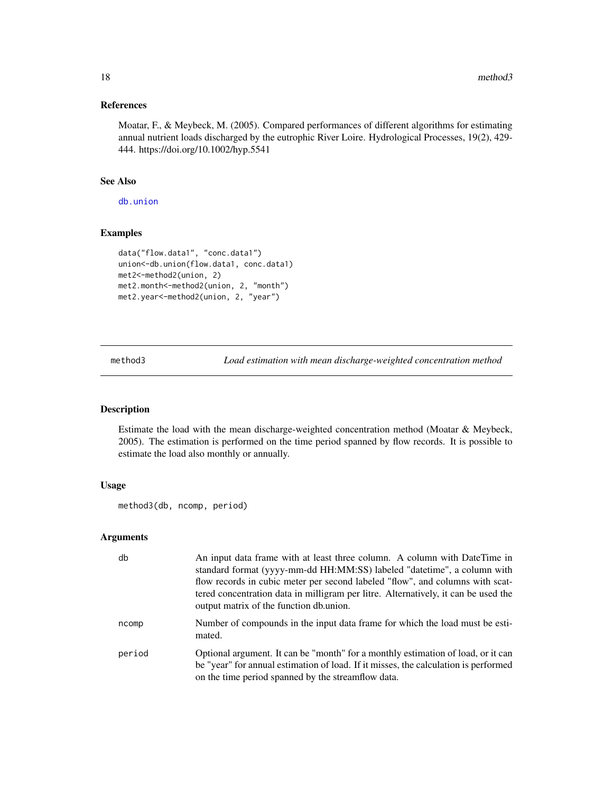# References

Moatar, F., & Meybeck, M. (2005). Compared performances of different algorithms for estimating annual nutrient loads discharged by the eutrophic River Loire. Hydrological Processes, 19(2), 429- 444. https://doi.org/10.1002/hyp.5541

# See Also

[db.union](#page-9-1)

# Examples

```
data("flow.data1", "conc.data1")
union<-db.union(flow.data1, conc.data1)
met2<-method2(union, 2)
met2.month<-method2(union, 2, "month")
met2.year<-method2(union, 2, "year")
```
method3 *Load estimation with mean discharge-weighted concentration method*

#### Description

Estimate the load with the mean discharge-weighted concentration method (Moatar & Meybeck, 2005). The estimation is performed on the time period spanned by flow records. It is possible to estimate the load also monthly or annually.

# Usage

```
method3(db, ncomp, period)
```
#### Arguments

| db     | An input data frame with at least three column. A column with DateTime in<br>standard format (yyyy-mm-dd HH:MM:SS) labeled "datetime", a column with<br>flow records in cubic meter per second labeled "flow", and columns with scat-<br>tered concentration data in milligram per litre. Alternatively, it can be used the<br>output matrix of the function db.union. |
|--------|------------------------------------------------------------------------------------------------------------------------------------------------------------------------------------------------------------------------------------------------------------------------------------------------------------------------------------------------------------------------|
| ncomp  | Number of compounds in the input data frame for which the load must be esti-<br>mated.                                                                                                                                                                                                                                                                                 |
| period | Optional argument. It can be "month" for a monthly estimation of load, or it can<br>be "year" for annual estimation of load. If it misses, the calculation is performed<br>on the time period spanned by the streamflow data.                                                                                                                                          |

<span id="page-17-0"></span>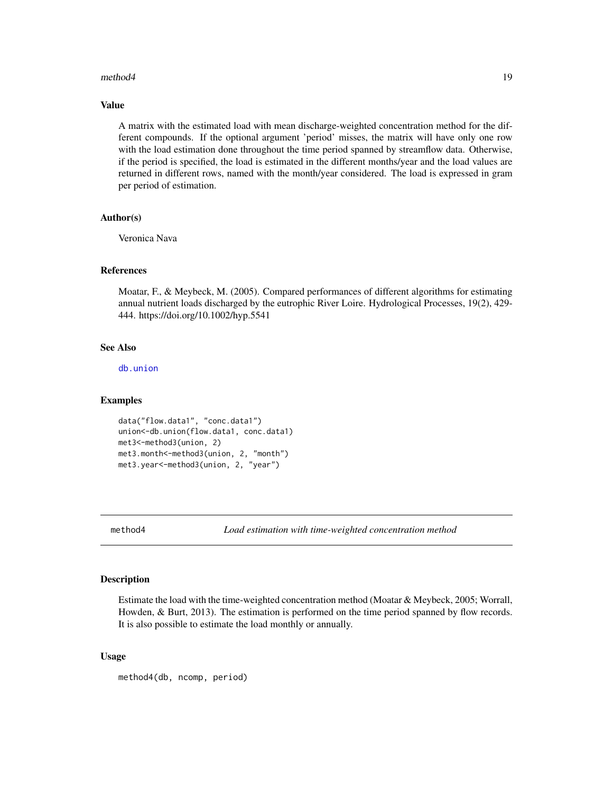#### <span id="page-18-0"></span>method4 19

#### Value

A matrix with the estimated load with mean discharge-weighted concentration method for the different compounds. If the optional argument 'period' misses, the matrix will have only one row with the load estimation done throughout the time period spanned by streamflow data. Otherwise, if the period is specified, the load is estimated in the different months/year and the load values are returned in different rows, named with the month/year considered. The load is expressed in gram per period of estimation.

# Author(s)

Veronica Nava

# References

Moatar, F., & Meybeck, M. (2005). Compared performances of different algorithms for estimating annual nutrient loads discharged by the eutrophic River Loire. Hydrological Processes, 19(2), 429- 444. https://doi.org/10.1002/hyp.5541

# See Also

[db.union](#page-9-1)

#### Examples

```
data("flow.data1", "conc.data1")
union<-db.union(flow.data1, conc.data1)
met3<-method3(union, 2)
met3.month<-method3(union, 2, "month")
met3.year<-method3(union, 2, "year")
```
method4 *Load estimation with time-weighted concentration method*

#### **Description**

Estimate the load with the time-weighted concentration method (Moatar & Meybeck, 2005; Worrall, Howden, & Burt, 2013). The estimation is performed on the time period spanned by flow records. It is also possible to estimate the load monthly or annually.

#### Usage

method4(db, ncomp, period)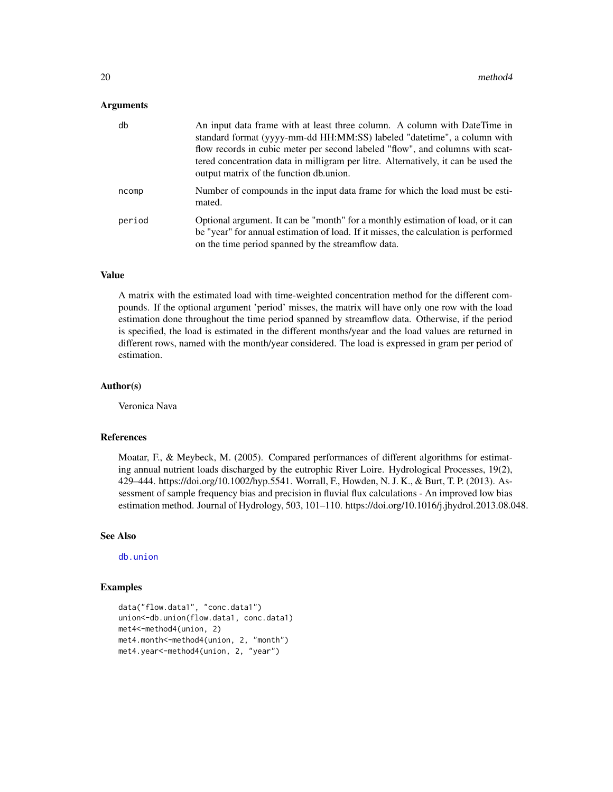#### <span id="page-19-0"></span>Arguments

| db     | An input data frame with at least three column. A column with DateTime in<br>standard format (yyyy-mm-dd HH:MM:SS) labeled "datetime", a column with<br>flow records in cubic meter per second labeled "flow", and columns with scat-<br>tered concentration data in milligram per litre. Alternatively, it can be used the<br>output matrix of the function db.union. |
|--------|------------------------------------------------------------------------------------------------------------------------------------------------------------------------------------------------------------------------------------------------------------------------------------------------------------------------------------------------------------------------|
| ncomp  | Number of compounds in the input data frame for which the load must be esti-<br>mated.                                                                                                                                                                                                                                                                                 |
| period | Optional argument. It can be "month" for a monthly estimation of load, or it can<br>be "year" for annual estimation of load. If it misses, the calculation is performed<br>on the time period spanned by the streamflow data.                                                                                                                                          |

# Value

A matrix with the estimated load with time-weighted concentration method for the different compounds. If the optional argument 'period' misses, the matrix will have only one row with the load estimation done throughout the time period spanned by streamflow data. Otherwise, if the period is specified, the load is estimated in the different months/year and the load values are returned in different rows, named with the month/year considered. The load is expressed in gram per period of estimation.

# Author(s)

Veronica Nava

#### References

Moatar, F., & Meybeck, M. (2005). Compared performances of different algorithms for estimating annual nutrient loads discharged by the eutrophic River Loire. Hydrological Processes, 19(2), 429–444. https://doi.org/10.1002/hyp.5541. Worrall, F., Howden, N. J. K., & Burt, T. P. (2013). Assessment of sample frequency bias and precision in fluvial flux calculations - An improved low bias estimation method. Journal of Hydrology, 503, 101–110. https://doi.org/10.1016/j.jhydrol.2013.08.048.

#### See Also

[db.union](#page-9-1)

# Examples

```
data("flow.data1", "conc.data1")
union<-db.union(flow.data1, conc.data1)
met4<-method4(union, 2)
met4.month<-method4(union, 2, "month")
met4.year<-method4(union, 2, "year")
```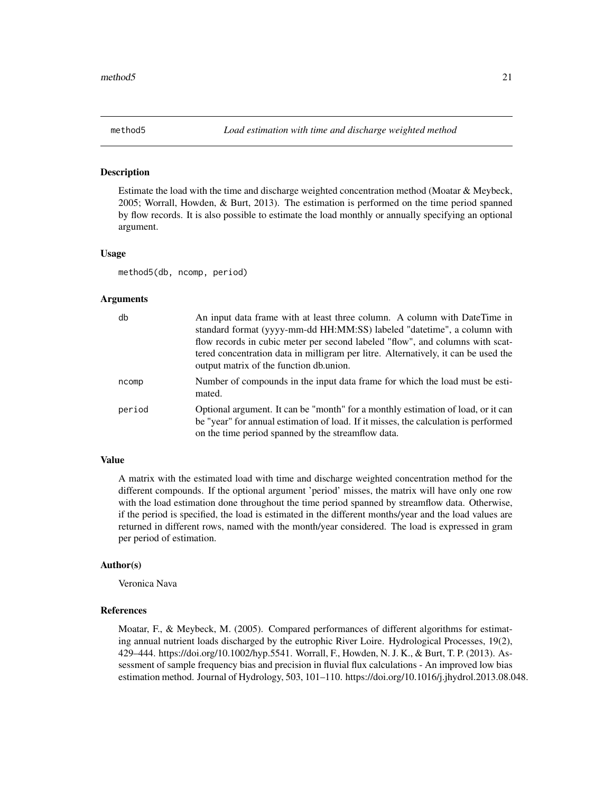<span id="page-20-0"></span>

#### Description

Estimate the load with the time and discharge weighted concentration method (Moatar & Meybeck, 2005; Worrall, Howden, & Burt, 2013). The estimation is performed on the time period spanned by flow records. It is also possible to estimate the load monthly or annually specifying an optional argument.

#### Usage

method5(db, ncomp, period)

#### Arguments

| db     | An input data frame with at least three column. A column with DateTime in<br>standard format (yyyy-mm-dd HH:MM:SS) labeled "datetime", a column with<br>flow records in cubic meter per second labeled "flow", and columns with scat-<br>tered concentration data in milligram per litre. Alternatively, it can be used the<br>output matrix of the function db.union. |
|--------|------------------------------------------------------------------------------------------------------------------------------------------------------------------------------------------------------------------------------------------------------------------------------------------------------------------------------------------------------------------------|
| ncomp  | Number of compounds in the input data frame for which the load must be esti-<br>mated.                                                                                                                                                                                                                                                                                 |
| period | Optional argument. It can be "month" for a monthly estimation of load, or it can<br>be "year" for annual estimation of load. If it misses, the calculation is performed<br>on the time period spanned by the streamflow data.                                                                                                                                          |

#### Value

A matrix with the estimated load with time and discharge weighted concentration method for the different compounds. If the optional argument 'period' misses, the matrix will have only one row with the load estimation done throughout the time period spanned by streamflow data. Otherwise, if the period is specified, the load is estimated in the different months/year and the load values are returned in different rows, named with the month/year considered. The load is expressed in gram per period of estimation.

#### Author(s)

Veronica Nava

# References

Moatar, F., & Meybeck, M. (2005). Compared performances of different algorithms for estimating annual nutrient loads discharged by the eutrophic River Loire. Hydrological Processes, 19(2), 429–444. https://doi.org/10.1002/hyp.5541. Worrall, F., Howden, N. J. K., & Burt, T. P. (2013). Assessment of sample frequency bias and precision in fluvial flux calculations - An improved low bias estimation method. Journal of Hydrology, 503, 101–110. https://doi.org/10.1016/j.jhydrol.2013.08.048.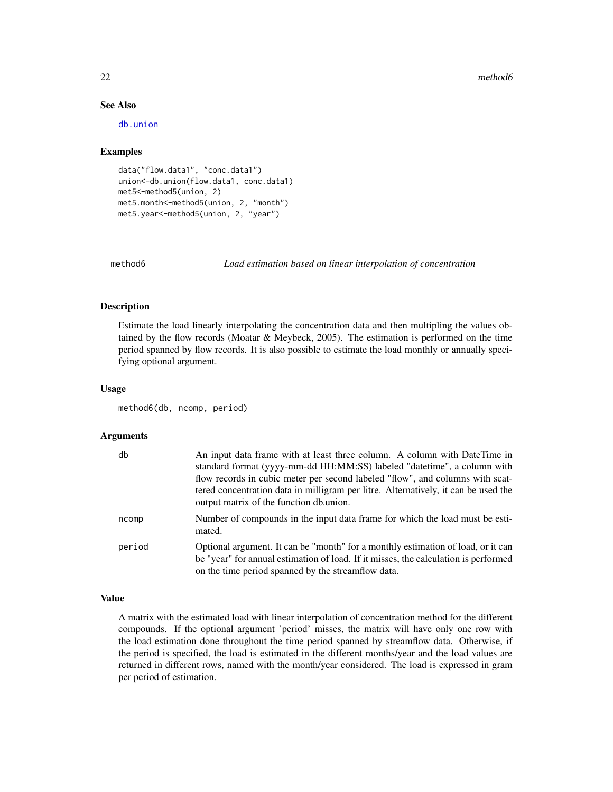#### 22 method6

# See Also

[db.union](#page-9-1)

#### Examples

```
data("flow.data1", "conc.data1")
union<-db.union(flow.data1, conc.data1)
met5<-method5(union, 2)
met5.month<-method5(union, 2, "month")
met5.year<-method5(union, 2, "year")
```
method6 *Load estimation based on linear interpolation of concentration*

# Description

Estimate the load linearly interpolating the concentration data and then multipling the values obtained by the flow records (Moatar & Meybeck, 2005). The estimation is performed on the time period spanned by flow records. It is also possible to estimate the load monthly or annually specifying optional argument.

#### Usage

```
method6(db, ncomp, period)
```
#### Arguments

| db     | An input data frame with at least three column. A column with DateTime in<br>standard format (yyyy-mm-dd HH:MM:SS) labeled "datetime", a column with                                                                          |
|--------|-------------------------------------------------------------------------------------------------------------------------------------------------------------------------------------------------------------------------------|
|        | flow records in cubic meter per second labeled "flow", and columns with scat-<br>tered concentration data in milligram per litre. Alternatively, it can be used the<br>output matrix of the function db.union.                |
| ncomp  | Number of compounds in the input data frame for which the load must be esti-<br>mated.                                                                                                                                        |
| period | Optional argument. It can be "month" for a monthly estimation of load, or it can<br>be "year" for annual estimation of load. If it misses, the calculation is performed<br>on the time period spanned by the streamflow data. |

#### Value

A matrix with the estimated load with linear interpolation of concentration method for the different compounds. If the optional argument 'period' misses, the matrix will have only one row with the load estimation done throughout the time period spanned by streamflow data. Otherwise, if the period is specified, the load is estimated in the different months/year and the load values are returned in different rows, named with the month/year considered. The load is expressed in gram per period of estimation.

<span id="page-21-0"></span>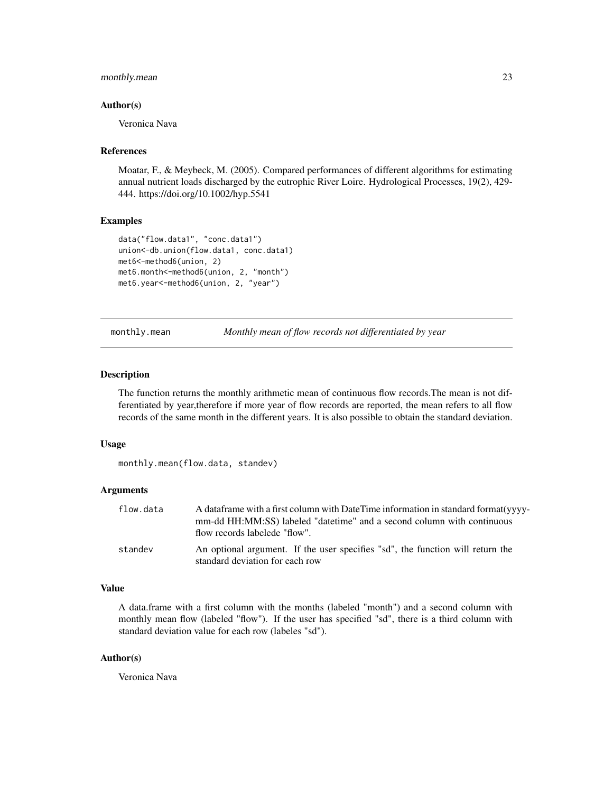# <span id="page-22-0"></span>monthly.mean 23

#### Author(s)

Veronica Nava

#### References

Moatar, F., & Meybeck, M. (2005). Compared performances of different algorithms for estimating annual nutrient loads discharged by the eutrophic River Loire. Hydrological Processes, 19(2), 429- 444. https://doi.org/10.1002/hyp.5541

#### Examples

```
data("flow.data1", "conc.data1")
union<-db.union(flow.data1, conc.data1)
met6<-method6(union, 2)
met6.month<-method6(union, 2, "month")
met6.year<-method6(union, 2, "year")
```
<span id="page-22-1"></span>monthly.mean *Monthly mean of flow records not differentiated by year*

#### Description

The function returns the monthly arithmetic mean of continuous flow records.The mean is not differentiated by year,therefore if more year of flow records are reported, the mean refers to all flow records of the same month in the different years. It is also possible to obtain the standard deviation.

#### Usage

monthly.mean(flow.data, standev)

#### Arguments

| flow.data | A data frame with a first column with Date Time information in standard format (yvyy-<br>mm-dd HH:MM:SS) labeled "date time" and a second column with continuous<br>flow records labelede "flow". |
|-----------|---------------------------------------------------------------------------------------------------------------------------------------------------------------------------------------------------|
| standev   | An optional argument. If the user specifies "sd", the function will return the<br>standard deviation for each row                                                                                 |

#### Value

A data.frame with a first column with the months (labeled "month") and a second column with monthly mean flow (labeled "flow"). If the user has specified "sd", there is a third column with standard deviation value for each row (labeles "sd").

# Author(s)

Veronica Nava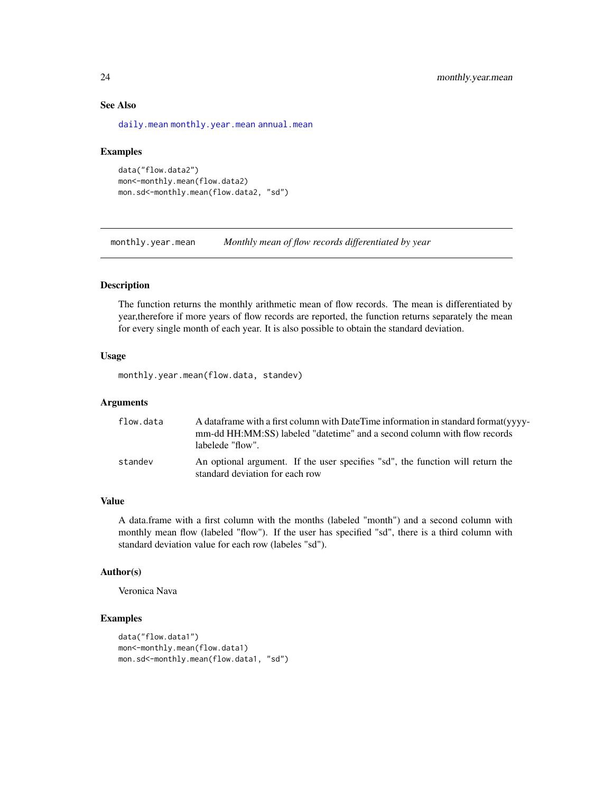# See Also

[daily.mean](#page-7-1) [monthly.year.mean](#page-23-1) [annual.mean](#page-1-1)

#### Examples

```
data("flow.data2")
mon<-monthly.mean(flow.data2)
mon.sd<-monthly.mean(flow.data2, "sd")
```
<span id="page-23-1"></span>monthly.year.mean *Monthly mean of flow records differentiated by year*

# Description

The function returns the monthly arithmetic mean of flow records. The mean is differentiated by year,therefore if more years of flow records are reported, the function returns separately the mean for every single month of each year. It is also possible to obtain the standard deviation.

#### Usage

```
monthly.year.mean(flow.data, standev)
```
#### Arguments

| flow.data | A data frame with a first column with Date Time information in standard format (yvyy-<br>mm-dd HH:MM:SS) labeled "datetime" and a second column with flow records<br>labelede "flow". |
|-----------|---------------------------------------------------------------------------------------------------------------------------------------------------------------------------------------|
| standev   | An optional argument. If the user specifies "sd", the function will return the<br>standard deviation for each row                                                                     |

#### Value

A data.frame with a first column with the months (labeled "month") and a second column with monthly mean flow (labeled "flow"). If the user has specified "sd", there is a third column with standard deviation value for each row (labeles "sd").

# Author(s)

Veronica Nava

# Examples

```
data("flow.data1")
mon<-monthly.mean(flow.data1)
mon.sd<-monthly.mean(flow.data1, "sd")
```
<span id="page-23-0"></span>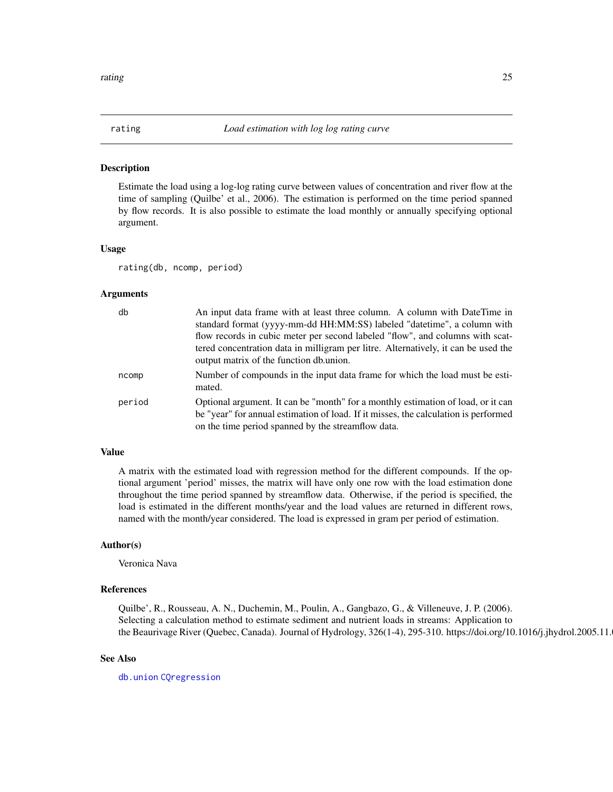<span id="page-24-1"></span><span id="page-24-0"></span>

#### Description

Estimate the load using a log-log rating curve between values of concentration and river flow at the time of sampling (Quilbe' et al., 2006). The estimation is performed on the time period spanned by flow records. It is also possible to estimate the load monthly or annually specifying optional argument.

#### Usage

rating(db, ncomp, period)

#### Arguments

| db     | An input data frame with at least three column. A column with DateTime in<br>standard format (yyyy-mm-dd HH:MM:SS) labeled "datetime", a column with                                                                          |
|--------|-------------------------------------------------------------------------------------------------------------------------------------------------------------------------------------------------------------------------------|
|        | flow records in cubic meter per second labeled "flow", and columns with scat-<br>tered concentration data in milligram per litre. Alternatively, it can be used the<br>output matrix of the function db.union.                |
| ncomp  | Number of compounds in the input data frame for which the load must be esti-<br>mated.                                                                                                                                        |
| period | Optional argument. It can be "month" for a monthly estimation of load, or it can<br>be "year" for annual estimation of load. If it misses, the calculation is performed<br>on the time period spanned by the streamflow data. |

# Value

A matrix with the estimated load with regression method for the different compounds. If the optional argument 'period' misses, the matrix will have only one row with the load estimation done throughout the time period spanned by streamflow data. Otherwise, if the period is specified, the load is estimated in the different months/year and the load values are returned in different rows, named with the month/year considered. The load is expressed in gram per period of estimation.

#### Author(s)

Veronica Nava

# References

Quilbe', R., Rousseau, A. N., Duchemin, M., Poulin, A., Gangbazo, G., & Villeneuve, J. P. (2006). Selecting a calculation method to estimate sediment and nutrient loads in streams: Application to the Beaurivage River (Quebec, Canada). Journal of Hydrology, 326(1-4), 295-310. https://doi.org/10.1016/j.jhydrol.2005.11.

#### See Also

[db.union](#page-9-1) [CQregression](#page-6-1)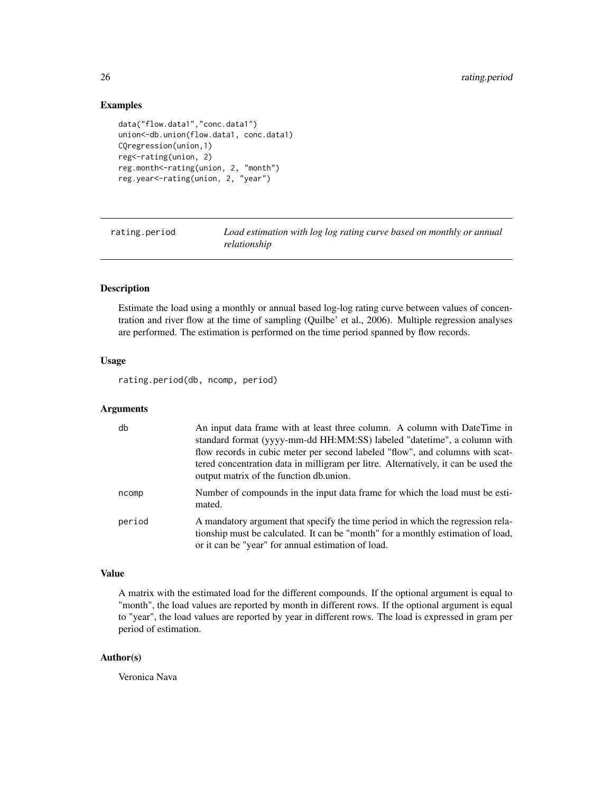# Examples

```
data("flow.data1","conc.data1")
union<-db.union(flow.data1, conc.data1)
CQregression(union,1)
reg<-rating(union, 2)
reg.month<-rating(union, 2, "month")
reg.year<-rating(union, 2, "year")
```
<span id="page-25-1"></span>rating.period *Load estimation with log log rating curve based on monthly or annual relationship*

# Description

Estimate the load using a monthly or annual based log-log rating curve between values of concentration and river flow at the time of sampling (Quilbe' et al., 2006). Multiple regression analyses are performed. The estimation is performed on the time period spanned by flow records.

# Usage

rating.period(db, ncomp, period)

#### Arguments

| db     | An input data frame with at least three column. A column with DateTime in<br>standard format (yyyy-mm-dd HH:MM:SS) labeled "datetime", a column with<br>flow records in cubic meter per second labeled "flow", and columns with scat-<br>tered concentration data in milligram per litre. Alternatively, it can be used the<br>output matrix of the function db.union. |
|--------|------------------------------------------------------------------------------------------------------------------------------------------------------------------------------------------------------------------------------------------------------------------------------------------------------------------------------------------------------------------------|
| ncomp  | Number of compounds in the input data frame for which the load must be esti-<br>mated.                                                                                                                                                                                                                                                                                 |
| period | A mandatory argument that specify the time period in which the regression rela-<br>tionship must be calculated. It can be "month" for a monthly estimation of load,<br>or it can be "year" for annual estimation of load.                                                                                                                                              |

# Value

A matrix with the estimated load for the different compounds. If the optional argument is equal to "month", the load values are reported by month in different rows. If the optional argument is equal to "year", the load values are reported by year in different rows. The load is expressed in gram per period of estimation.

# Author(s)

Veronica Nava

<span id="page-25-0"></span>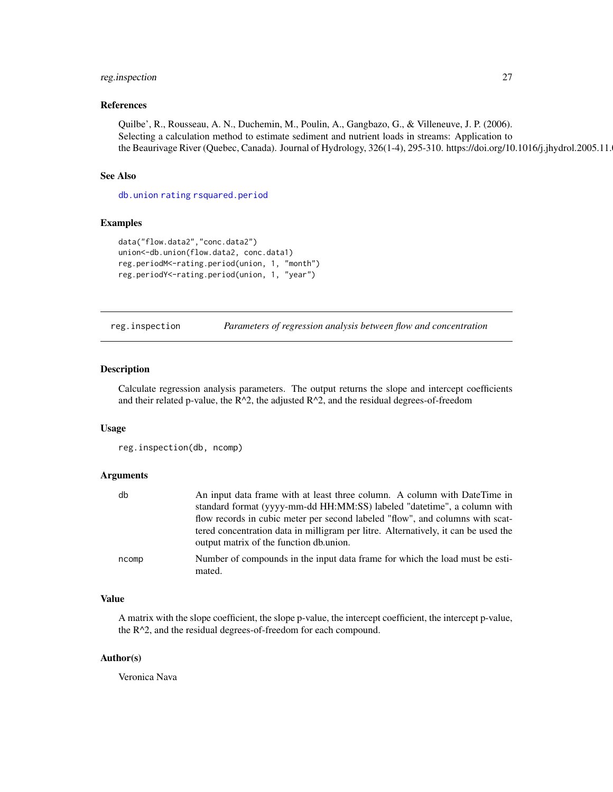# <span id="page-26-0"></span>reg.inspection 27

#### References

Quilbe', R., Rousseau, A. N., Duchemin, M., Poulin, A., Gangbazo, G., & Villeneuve, J. P. (2006). Selecting a calculation method to estimate sediment and nutrient loads in streams: Application to the Beaurivage River (Quebec, Canada). Journal of Hydrology, 326(1-4), 295-310. https://doi.org/10.1016/j.jhydrol.2005.11.

# See Also

[db.union](#page-9-1) [rating](#page-24-1) [rsquared.period](#page-28-1)

#### Examples

```
data("flow.data2","conc.data2")
union<-db.union(flow.data2, conc.data1)
reg.periodM<-rating.period(union, 1, "month")
reg.periodY<-rating.period(union, 1, "year")
```
reg.inspection *Parameters of regression analysis between flow and concentration*

# Description

Calculate regression analysis parameters. The output returns the slope and intercept coefficients and their related p-value, the  $R^2$ , the adjusted  $R^2$ , and the residual degrees-of-freedom

#### Usage

reg.inspection(db, ncomp)

#### Arguments

| db    | An input data frame with at least three column. A column with DateTime in                                                     |
|-------|-------------------------------------------------------------------------------------------------------------------------------|
|       | standard format (yyyy-mm-dd HH:MM:SS) labeled "datetime", a column with                                                       |
|       | flow records in cubic meter per second labeled "flow", and columns with scat-                                                 |
|       | tered concentration data in milligram per litre. Alternatively, it can be used the<br>output matrix of the function db.union. |
| ncomp | Number of compounds in the input data frame for which the load must be esti-<br>mated.                                        |

# Value

A matrix with the slope coefficient, the slope p-value, the intercept coefficient, the intercept p-value, the R^2, and the residual degrees-of-freedom for each compound.

# Author(s)

Veronica Nava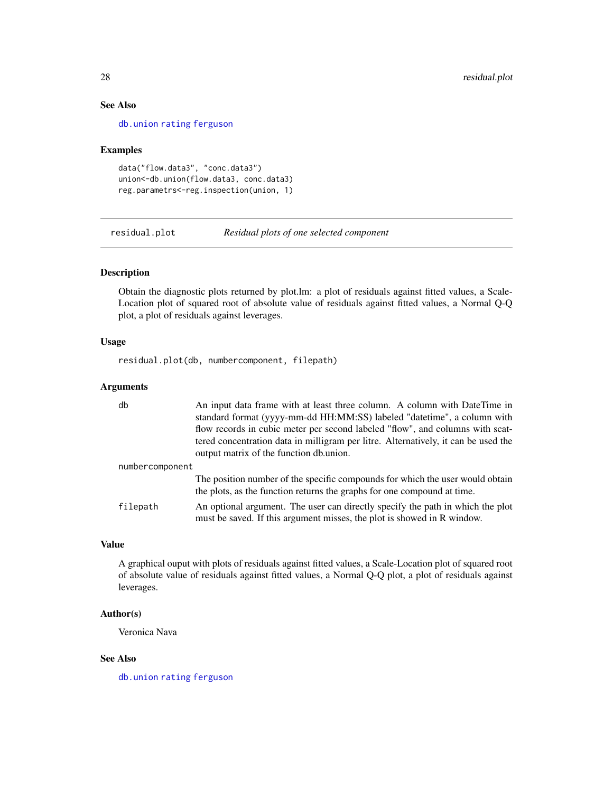# See Also

[db.union](#page-9-1) [rating](#page-24-1) [ferguson](#page-10-1)

#### Examples

```
data("flow.data3", "conc.data3")
union<-db.union(flow.data3, conc.data3)
reg.parametrs<-reg.inspection(union, 1)
```
residual.plot *Residual plots of one selected component*

#### Description

Obtain the diagnostic plots returned by plot.lm: a plot of residuals against fitted values, a Scale-Location plot of squared root of absolute value of residuals against fitted values, a Normal Q-Q plot, a plot of residuals against leverages.

# Usage

residual.plot(db, numbercomponent, filepath)

# Arguments

| db              | An input data frame with at least three column. A column with DateTime in<br>standard format (yyyy-mm-dd HH:MM:SS) labeled "datetime", a column with<br>flow records in cubic meter per second labeled "flow", and columns with scat-<br>tered concentration data in milligram per litre. Alternatively, it can be used the |
|-----------------|-----------------------------------------------------------------------------------------------------------------------------------------------------------------------------------------------------------------------------------------------------------------------------------------------------------------------------|
|                 | output matrix of the function db.union.                                                                                                                                                                                                                                                                                     |
| numbercomponent |                                                                                                                                                                                                                                                                                                                             |
|                 | The position number of the specific compounds for which the user would obtain<br>the plots, as the function returns the graphs for one compound at time.                                                                                                                                                                    |
| filepath        | An optional argument. The user can directly specify the path in which the plot<br>must be saved. If this argument misses, the plot is showed in R window.                                                                                                                                                                   |

# Value

A graphical ouput with plots of residuals against fitted values, a Scale-Location plot of squared root of absolute value of residuals against fitted values, a Normal Q-Q plot, a plot of residuals against leverages.

# Author(s)

Veronica Nava

# See Also

[db.union](#page-9-1) [rating](#page-24-1) [ferguson](#page-10-1)

<span id="page-27-0"></span>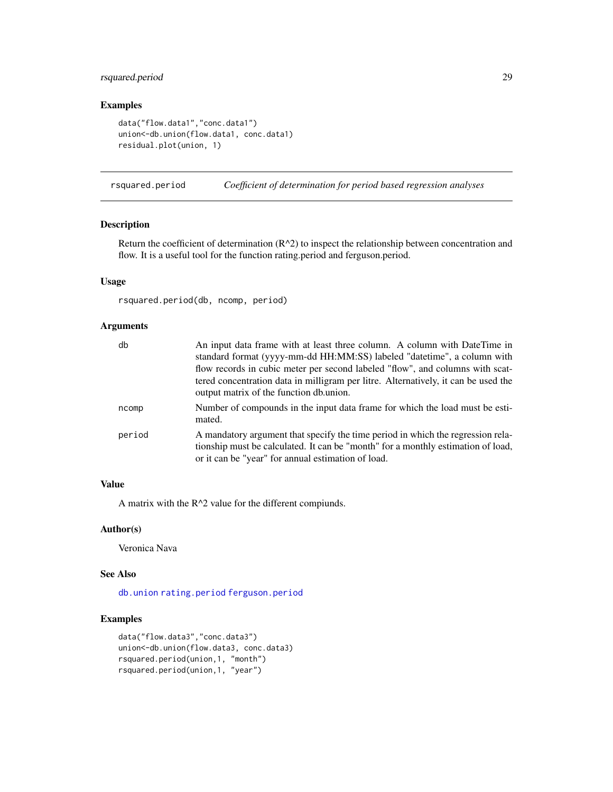# <span id="page-28-0"></span>rsquared.period 29

# Examples

```
data("flow.data1","conc.data1")
union<-db.union(flow.data1, conc.data1)
residual.plot(union, 1)
```
<span id="page-28-1"></span>rsquared.period *Coefficient of determination for period based regression analyses*

# Description

Return the coefficient of determination  $(R^2)$  to inspect the relationship between concentration and flow. It is a useful tool for the function rating.period and ferguson.period.

# Usage

rsquared.period(db, ncomp, period)

# Arguments

| db     | An input data frame with at least three column. A column with DateTime in<br>standard format (yyyy-mm-dd HH:MM:SS) labeled "datetime", a column with<br>flow records in cubic meter per second labeled "flow", and columns with scat-<br>tered concentration data in milligram per litre. Alternatively, it can be used the<br>output matrix of the function db.union. |
|--------|------------------------------------------------------------------------------------------------------------------------------------------------------------------------------------------------------------------------------------------------------------------------------------------------------------------------------------------------------------------------|
| ncomp  | Number of compounds in the input data frame for which the load must be esti-<br>mated.                                                                                                                                                                                                                                                                                 |
| period | A mandatory argument that specify the time period in which the regression rela-<br>tionship must be calculated. It can be "month" for a monthly estimation of load,<br>or it can be "year" for annual estimation of load.                                                                                                                                              |

# Value

A matrix with the  $R^2$  value for the different compiunds.

## Author(s)

Veronica Nava

# See Also

[db.union](#page-9-1) [rating.period](#page-25-1) [ferguson.period](#page-11-1)

# Examples

```
data("flow.data3","conc.data3")
union<-db.union(flow.data3, conc.data3)
rsquared.period(union,1, "month")
rsquared.period(union,1, "year")
```